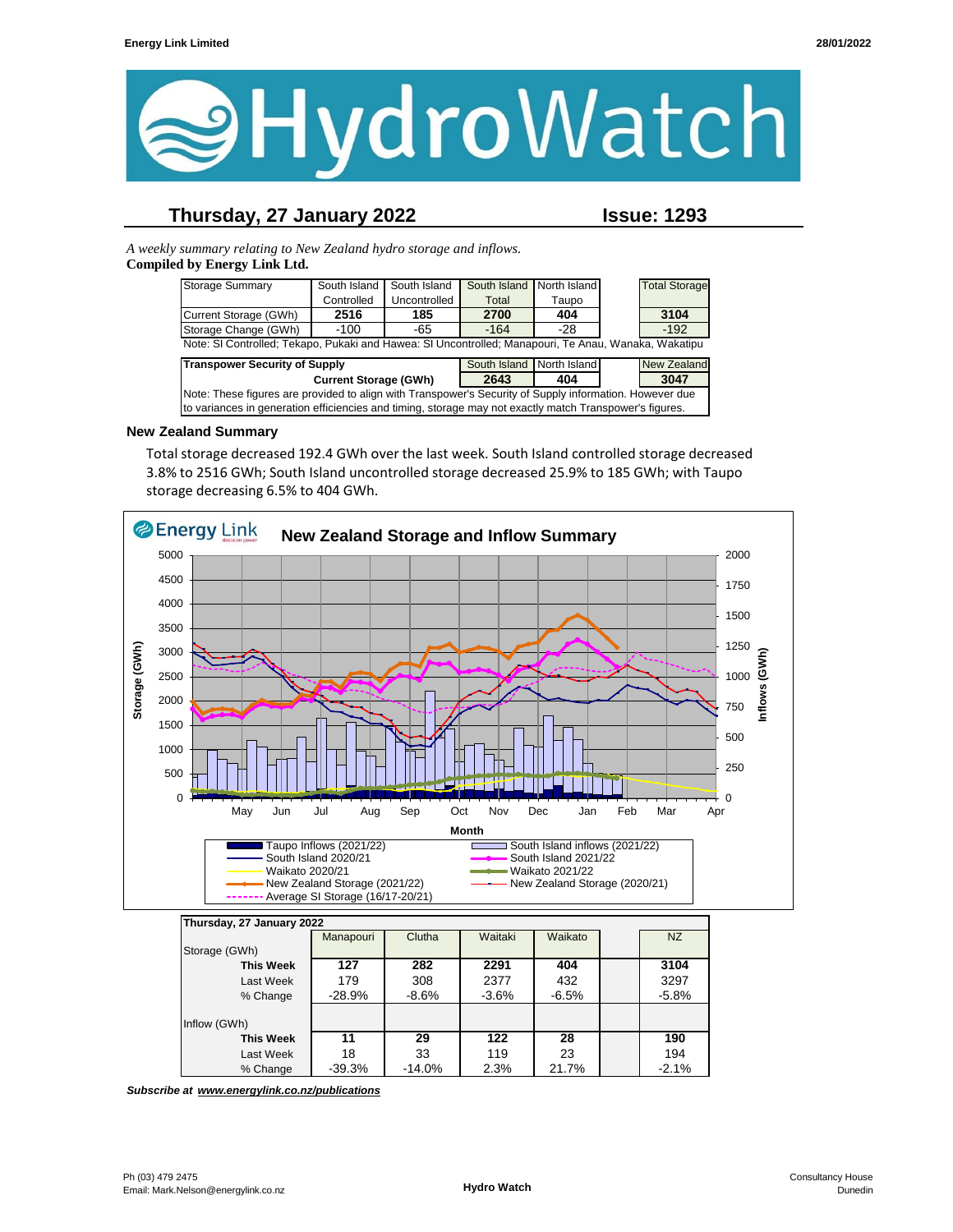

## **Thursday, 27 January 2022 Issue: 1293**

*A weekly summary relating to New Zealand hydro storage and inflows.*  **Compiled by Energy Link Ltd.**

| <b>Storage Summary</b>                                                                                  | South Island | South Island | South Island | North Island |  | <b>Total Storage</b> |
|---------------------------------------------------------------------------------------------------------|--------------|--------------|--------------|--------------|--|----------------------|
|                                                                                                         | Controlled   | Uncontrolled | Total        | Taupo        |  |                      |
| Current Storage (GWh)                                                                                   | 2516         | 185          | 2700         | 404          |  | 3104                 |
| Storage Change (GWh)                                                                                    | $-100$       | -65          | $-164$       | -28          |  | $-192$               |
| Note: SI Controlled; Tekapo, Pukaki and Hawea: SI Uncontrolled; Manapouri, Te Anau, Wanaka, Wakatipu    |              |              |              |              |  |                      |
| <b>Transpower Security of Supply</b><br>South Island North Island<br><b>New Zealand</b>                 |              |              |              |              |  |                      |
| 3047<br>2643<br><b>Current Storage (GWh)</b><br>404                                                     |              |              |              |              |  |                      |
| Note: These figures are provided to align with Transpower's Security of Supply information. However due |              |              |              |              |  |                      |
| to variances in generation efficiencies and timing, storage may not exactly match Transpower's figures. |              |              |              |              |  |                      |

#### **New Zealand Summary**

Total storage decreased 192.4 GWh over the last week. South Island controlled storage decreased 3.8% to 2516 GWh; South Island uncontrolled storage decreased 25.9% to 185 GWh; with Taupo storage decreasing 6.5% to 404 GWh.



| Thursday, 27 January 2022 |           |           |         |         |         |
|---------------------------|-----------|-----------|---------|---------|---------|
|                           | Manapouri | Clutha    | Waitaki | Waikato | NZ      |
| Storage (GWh)             |           |           |         |         |         |
| <b>This Week</b>          | 127       | 282       | 2291    | 404     | 3104    |
| Last Week                 | 179       | 308       | 2377    | 432     | 3297    |
| % Change                  | $-28.9%$  | $-8.6\%$  | $-3.6%$ | $-6.5%$ | $-5.8%$ |
|                           |           |           |         |         |         |
| Inflow (GWh)              |           |           |         |         |         |
| <b>This Week</b>          | 11        | 29        | 122     | 28      | 190     |
| Last Week                 | 18        | 33        | 119     | 23      | 194     |
| % Change                  | $-39.3%$  | $-14.0\%$ | 2.3%    | 21.7%   | $-2.1%$ |

*Subscribe at www.energylink.co.nz/publications*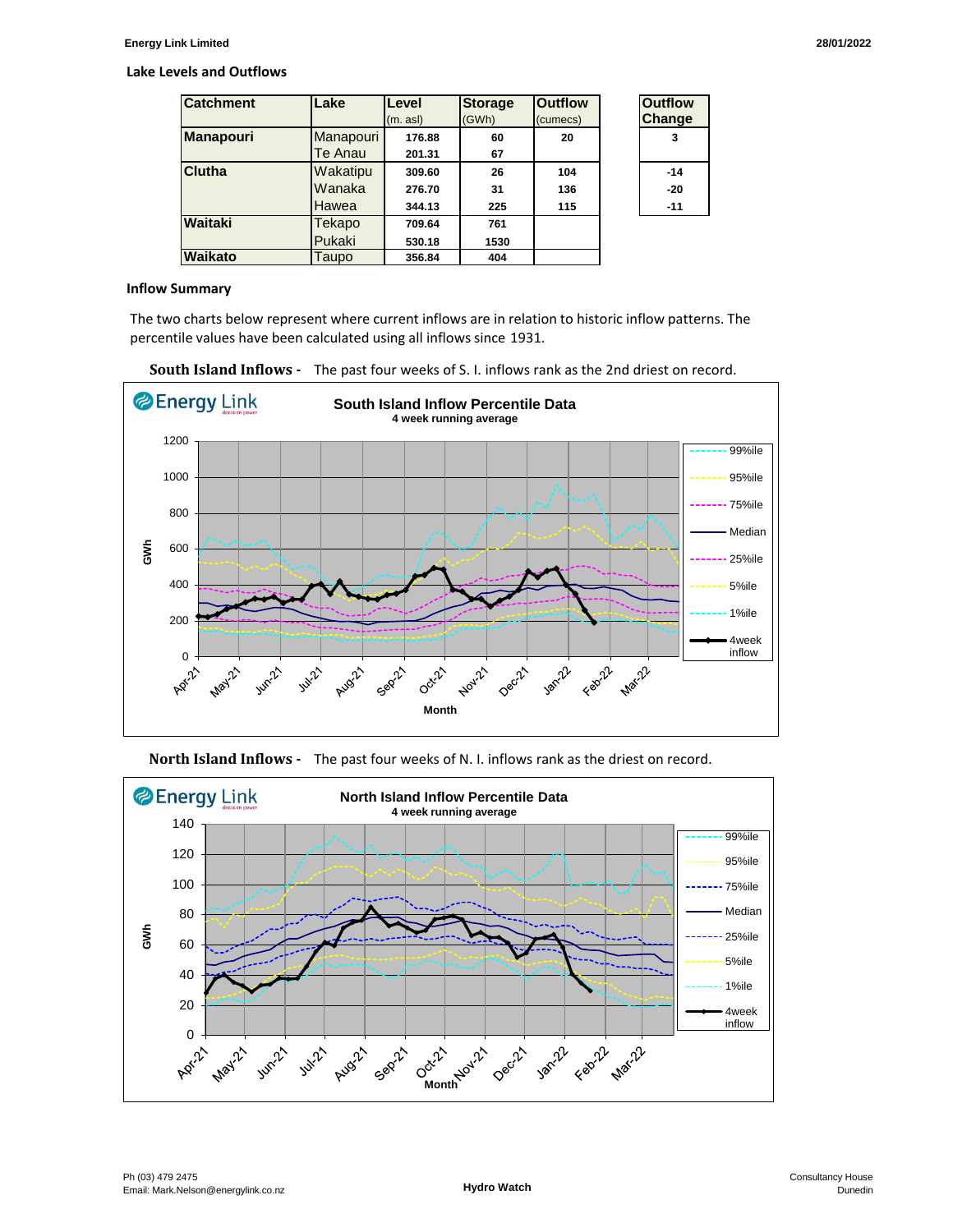#### **Lake Levels and Outflows**

| <b>Catchment</b> | Lake                        | Level<br>(m. asl)          | <b>Storage</b><br>(GWh) | <b>Outflow</b><br>(cumecs) | <b>Outflow</b><br><b>Change</b> |
|------------------|-----------------------------|----------------------------|-------------------------|----------------------------|---------------------------------|
| <b>Manapouri</b> | Manapouri<br>Te Anau        | 176.88<br>201.31           | 60<br>67                | 20                         | 3                               |
| Clutha           | Wakatipu<br>Wanaka<br>Hawea | 309.60<br>276.70<br>344.13 | 26<br>31<br>225         | 104<br>136<br>115          | $-14$<br>$-20$<br>$-11$         |
| Waitaki          | Tekapo<br>Pukaki            | 709.64<br>530.18           | 761<br>1530             |                            |                                 |
| Waikato          | Taupo                       | 356.84                     | 404                     |                            |                                 |

| Outfilow<br><b>Change</b> |
|---------------------------|
| 3                         |
| $-14$                     |
| -20                       |
| -11                       |

#### **Inflow Summary**

The two charts below represent where current inflows are in relation to historic inflow patterns. The percentile values have been calculated using all inflows since 1931.







**North Island Inflows -** The past four weeks of N. I. inflows rank as the driest on record.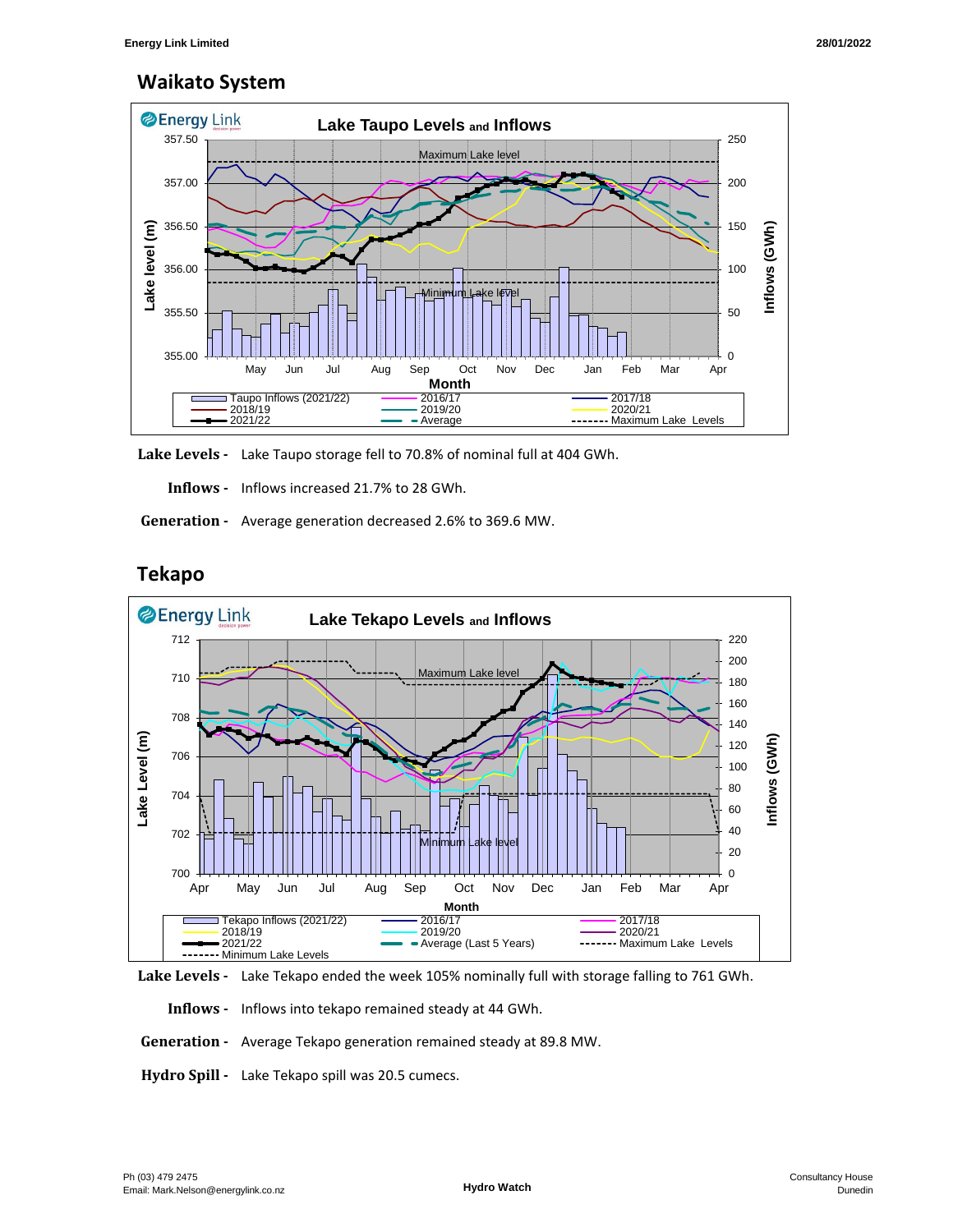# **Waikato System**



**Lake Levels -** Lake Taupo storage fell to 70.8% of nominal full at 404 GWh.

 **Inflows -** Inflows increased 21.7% to 28 GWh.

 **Generation -** Average generation decreased 2.6% to 369.6 MW.



## **Tekapo**



 **Inflows -** Inflows into tekapo remained steady at 44 GWh.

- **Generation** Average Tekapo generation remained steady at 89.8 MW.
- **Hydro Spill** Lake Tekapo spill was 20.5 cumecs.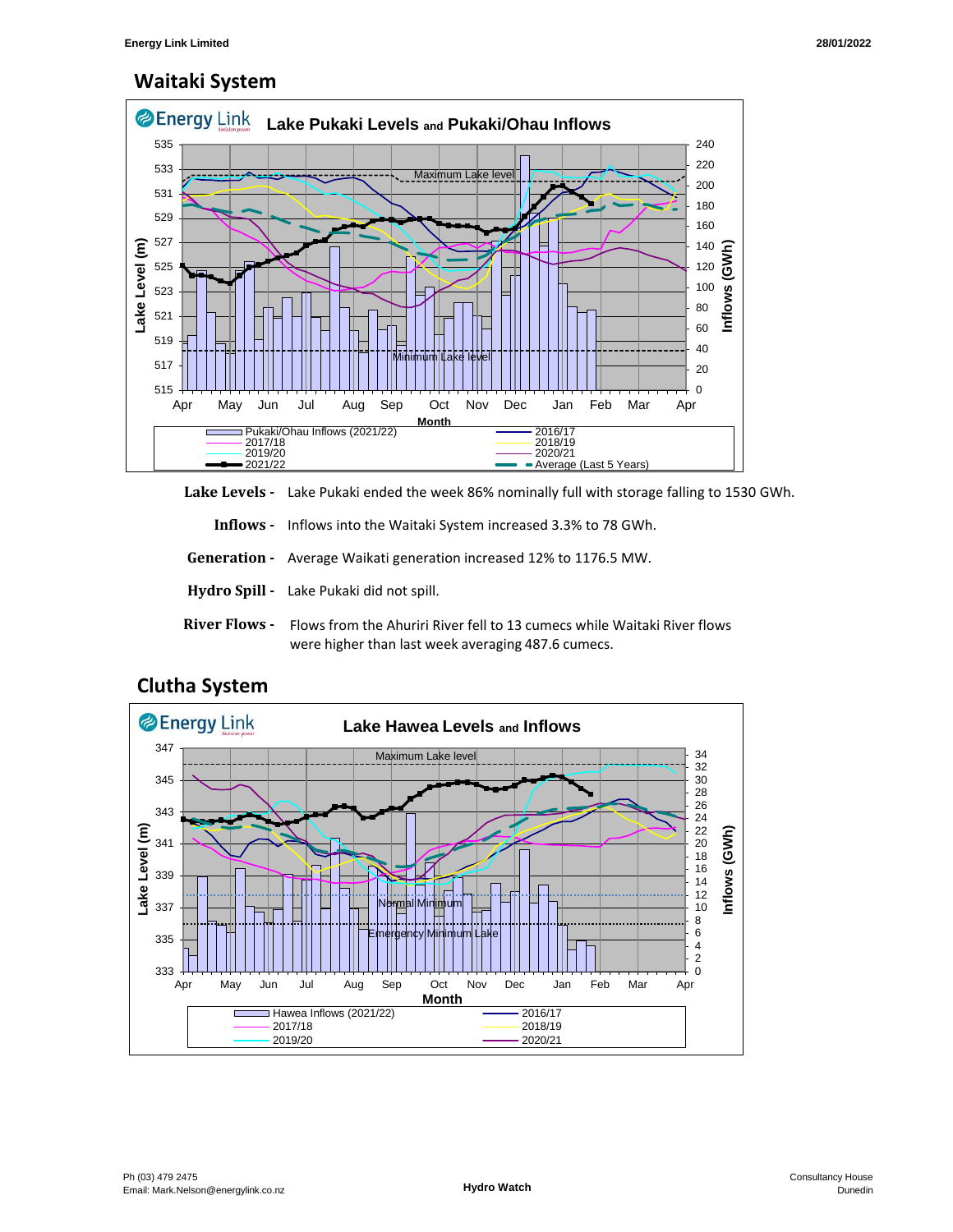# **Waitaki System**



**Lake Levels -** Lake Pukaki ended the week 86% nominally full with storage falling to 1530 GWh.

 **Inflows -** Inflows into the Waitaki System increased 3.3% to 78 GWh.

 **Generation -** Average Waikati generation increased 12% to 1176.5 MW.

- **Hydro Spill** Lake Pukaki did not spill.
- **River Flows**  Flows from the Ahuriri River fell to 13 cumecs while Waitaki River flows were higher than last week averaging 487.6 cumecs.



## **Clutha System**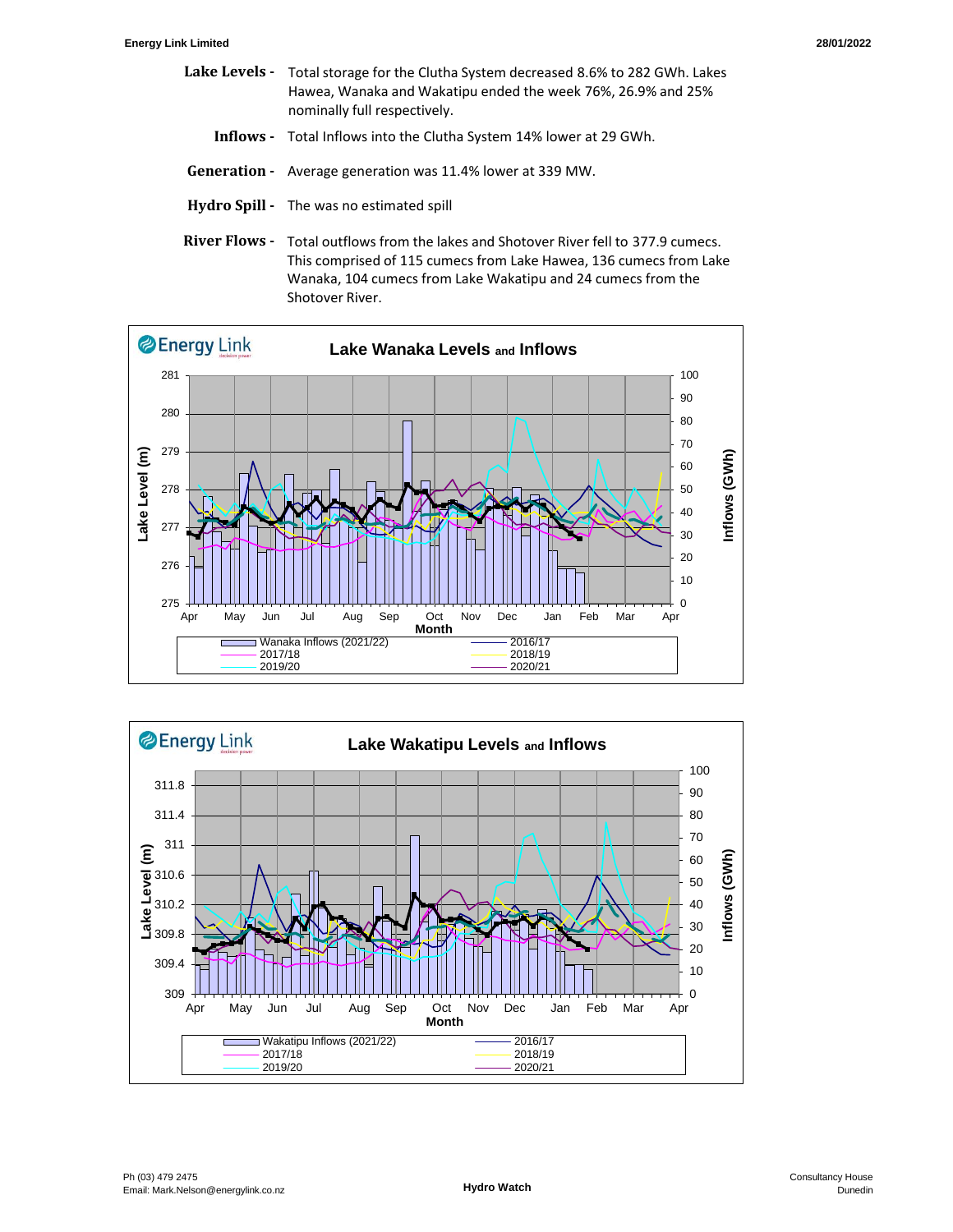- Lake Levels Total storage for the Clutha System decreased 8.6% to 282 GWh. Lakes Hawea, Wanaka and Wakatipu ended the week 76%, 26.9% and 25% nominally full respectively.
	- **Inflows** Total Inflows into the Clutha System 14% lower at 29 GWh.
- **Generation** Average generation was 11.4% lower at 339 MW.
- **Hydro Spill** The was no estimated spill
- River Flows Total outflows from the lakes and Shotover River fell to 377.9 cumecs. This comprised of 115 cumecs from Lake Hawea, 136 cumecs from Lake Wanaka, 104 cumecs from Lake Wakatipu and 24 cumecs from the Shotover River.